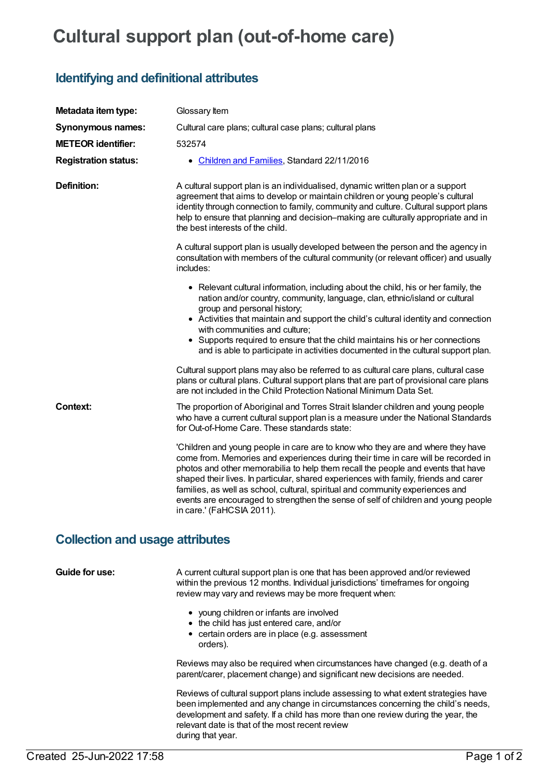## **Cultural support plan (out-of-home care)**

## **Identifying and definitional attributes**

| Metadata item type:                    | Glossary Item                                                                                                                                                                                                                                                                                                                                                                                                                                                                                                                                         |
|----------------------------------------|-------------------------------------------------------------------------------------------------------------------------------------------------------------------------------------------------------------------------------------------------------------------------------------------------------------------------------------------------------------------------------------------------------------------------------------------------------------------------------------------------------------------------------------------------------|
| <b>Synonymous names:</b>               | Cultural care plans; cultural case plans; cultural plans                                                                                                                                                                                                                                                                                                                                                                                                                                                                                              |
| <b>METEOR identifier:</b>              | 532574                                                                                                                                                                                                                                                                                                                                                                                                                                                                                                                                                |
| <b>Registration status:</b>            | • Children and Families, Standard 22/11/2016                                                                                                                                                                                                                                                                                                                                                                                                                                                                                                          |
| <b>Definition:</b>                     | A cultural support plan is an individualised, dynamic written plan or a support<br>agreement that aims to develop or maintain children or young people's cultural<br>identity through connection to family, community and culture. Cultural support plans<br>help to ensure that planning and decision-making are culturally appropriate and in<br>the best interests of the child.                                                                                                                                                                   |
|                                        | A cultural support plan is usually developed between the person and the agency in<br>consultation with members of the cultural community (or relevant officer) and usually<br>includes:                                                                                                                                                                                                                                                                                                                                                               |
|                                        | • Relevant cultural information, including about the child, his or her family, the<br>nation and/or country, community, language, clan, ethnic/island or cultural<br>group and personal history;<br>• Activities that maintain and support the child's cultural identity and connection<br>with communities and culture;<br>• Supports required to ensure that the child maintains his or her connections<br>and is able to participate in activities documented in the cultural support plan.                                                        |
|                                        | Cultural support plans may also be referred to as cultural care plans, cultural case<br>plans or cultural plans. Cultural support plans that are part of provisional care plans<br>are not included in the Child Protection National Minimum Data Set.                                                                                                                                                                                                                                                                                                |
| Context:                               | The proportion of Aboriginal and Torres Strait Islander children and young people<br>who have a current cultural support plan is a measure under the National Standards<br>for Out-of-Home Care. These standards state:                                                                                                                                                                                                                                                                                                                               |
|                                        | 'Children and young people in care are to know who they are and where they have<br>come from. Memories and experiences during their time in care will be recorded in<br>photos and other memorabilia to help them recall the people and events that have<br>shaped their lives. In particular, shared experiences with family, friends and carer<br>families, as well as school, cultural, spiritual and community experiences and<br>events are encouraged to strengthen the sense of self of children and young people<br>in care.' (FaHCSIA 2011). |
| <b>Collection and usage attributes</b> |                                                                                                                                                                                                                                                                                                                                                                                                                                                                                                                                                       |

**Guide for use:** A current cultural support plan is one that has been approved and/or reviewed within the previous 12 months. Individual jurisdictions' timeframes for ongoing review may vary and reviews may be more frequent when:

- young children or infants are involved
- the child has just entered care, and/or
- certain orders are in place (e.g. assessment orders).

Reviews may also be required when circumstances have changed (e.g. death of a parent/carer, placement change) and significant new decisions are needed.

Reviews of cultural support plans include assessing to what extent strategies have been implemented and any change in circumstances concerning the child's needs, development and safety. If a child has more than one review during the year, the relevant date is that of the most recent review during that year.